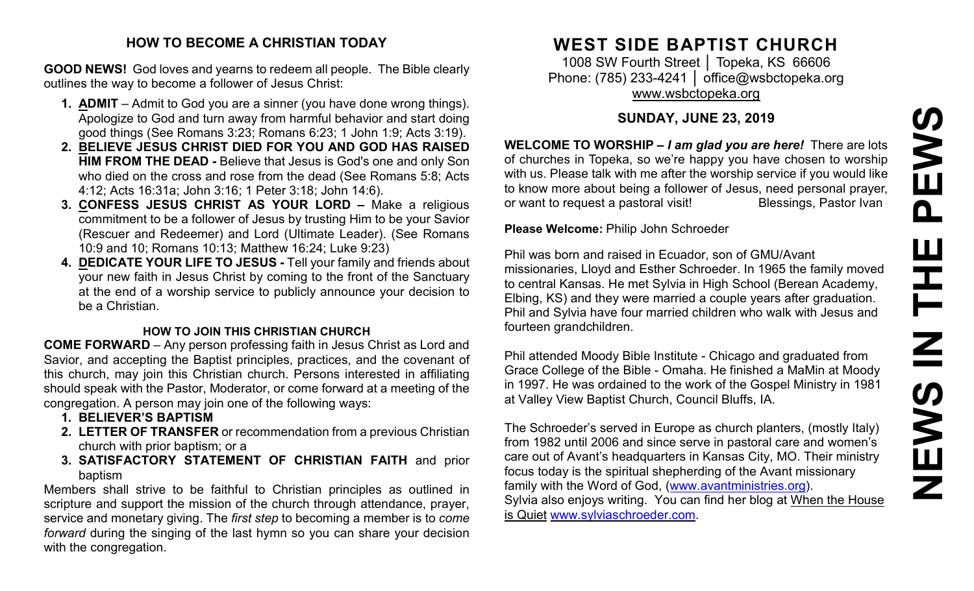#### **HOW TO BECOME A CHRISTIAN TODAY**

**GOOD NEWS!** God loves and yearns to redeem all people. The Bible clearly outlines the way to become a follower of Jesus Christ:

- **1. ADMIT** Admit to God you are a sinner (you have done wrong things). Apologize to God and turn away from harmful behavior and start doing good things (See Romans 3:23; Romans 6:23; 1 John 1:9; Acts 3:19).
- **2. BELIEVE JESUS CHRIST DIED FOR YOU AND GOD HAS RAISED HIM FROM THE DEAD -** Believe that Jesus is God's one and only Son who died on the cross and rose from the dead (See Romans 5:8; Acts 4:12; Acts 16:31a; John 3:16; 1 Peter 3:18; John 14:6).
- **3. CONFESS JESUS CHRIST AS YOUR LORD –** Make a religious commitment to be a follower of Jesus by trusting Him to be your Savior (Rescuer and Redeemer) and Lord (Ultimate Leader). (See Romans 10:9 and 10; Romans 10:13; Matthew 16:24; Luke 9:23)
- **4. DEDICATE YOUR LIFE TO JESUS -** Tell your family and friends about your new faith in Jesus Christ by coming to the front of the Sanctuary at the end of a worship service to publicly announce your decision to be a Christian.

#### **HOW TO JOIN THIS CHRISTIAN CHURCH**

**COME FORWARD** – Any person professing faith in Jesus Christ as Lord and Savior, and accepting the Baptist principles, practices, and the covenant of this church, may join this Christian church. Persons interested in affiliating should speak with the Pastor, Moderator, or come forward at a meeting of the congregation. A person may join one of the following ways:

- **1. BELIEVER'S BAPTISM**
- **2. LETTER OF TRANSFER** or recommendation from a previous Christian church with prior baptism; or a
- **3. SATISFACTORY STATEMENT OF CHRISTIAN FAITH** and prior baptism

Members shall strive to be faithful to Christian principles as outlined in scripture and support the mission of the church through attendance, prayer, service and monetary giving. The *first step* to becoming a member is to *come forward* during the singing of the last hymn so you can share your decision with the congregation.

# **WEST SIDE BAPTIST CHURCH**

1008 SW Fourth Street │ Topeka, KS 66606 Phone: (785) 233-4241 │ [office@wsbctopeka.org](mailto:office@wsbctopeka.org) [www.wsbctopeka.org](http://www.wsbctopeka.org/)

## **SUNDAY, JUNE 23, 2019**

**WELCOME TO WORSHIP –** *I am glad you are here!* There are lots of churches in Topeka, so we're happy you have chosen to worship with us. Please talk with me after the worship service if you would like to know more about being a follower of Jesus, need personal prayer, or want to request a pastoral visit!<br>
Blessings, Pastor Ivan

**Please Welcome:** Philip John Schroeder

Phil was born and raised in Ecuador, son of GMU/Avant missionaries, Lloyd and Esther Schroeder. In 1965 the family moved to central Kansas. He met Sylvia in High School (Berean Academy, Elbing, KS) and they were married a couple years after graduation. Phil and Sylvia have four married children who walk with Jesus and fourteen grandchildren.

Phil attended Moody Bible Institute - Chicago and graduated from Grace College of the Bible - Omaha. He finished a MaMin at Moody in 1997. He was ordained to the work of the Gospel Ministry in 1981 at Valley View Baptist Church, Council Bluffs, IA.

The Schroeder's served in Europe as church planters, (mostly Italy) from 1982 until 2006 and since serve in pastoral care and women's care out of Avant's headquarters in Kansas City, MO. Their ministry focus today is the spiritual shepherding of the Avant missionary family with the Word of God, [\(www.avantministries.org\)](http://www.avantministries.org/). Sylvia also enjoys writing. You can find her blog at When the [House](http://sylviaschroeder.com/) is [Quiet](http://sylviaschroeder.com/) [www.sylviaschroeder.com.](http://www.sylviaschroeder.com/)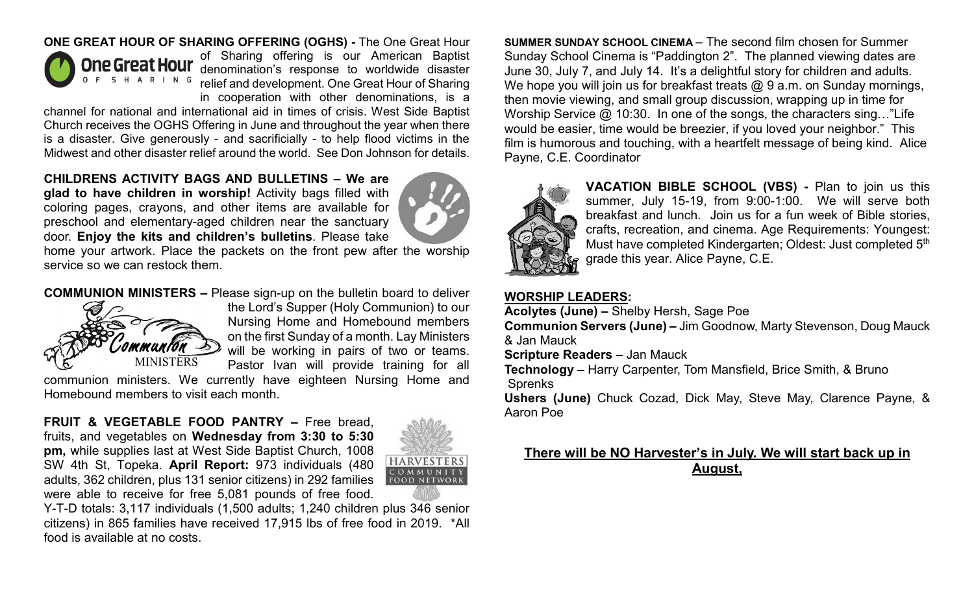#### **ONE GREAT HOUR OF SHARING OFFERING (OGHS) -** The One Great Hour



of Sharing offering is our American Baptist denomination's response to worldwide disaster relief and development. One Great Hour of Sharing in cooperation with other denominations, is a

channel for national and international aid in times of crisis. West Side Baptist Church receives the OGHS Offering in June and throughout the year when there is a disaster. Give generously - and sacrificially - to help flood victims in the Midwest and other disaster relief around the world. See Don Johnson for details.

**CHILDRENS ACTIVITY BAGS AND BULLETINS – We are glad to have children in worship!** Activity bags filled with coloring pages, crayons, and other items are available for preschool and elementary-aged children near the sanctuary door. **Enjoy the kits and children's bulletins**. Please take



home your artwork. Place the packets on the front pew after the worship service so we can restock them.

**COMMUNION MINISTERS –** Please sign-up on the bulletin board to deliver



the Lord's Supper (Holy Communion) to our Nursing Home and Homebound members on the first Sunday of a month. Lay Ministers will be working in pairs of two or teams. Pastor Ivan will provide training for all

communion ministers. We currently have eighteen Nursing Home and Homebound members to visit each month.

**FRUIT & VEGETABLE FOOD PANTRY –** Free bread, fruits, and vegetables on **Wednesday from 3:30 to 5:30 pm,** while supplies last at West Side Baptist Church, 1008 SW 4th St, Topeka. **April Report:** 973 individuals (480 adults, 362 children, plus 131 senior citizens) in 292 families were able to receive for free 5,081 pounds of free food.



Y-T-D totals: 3,117 individuals (1,500 adults; 1,240 children plus 346 senior citizens) in 865 families have received 17,915 lbs of free food in 2019. \*All food is available at no costs.

**SUMMER SUNDAY SCHOOL CINEMA** – The second film chosen for Summer Sunday School Cinema is "Paddington 2". The planned viewing dates are June 30, July 7, and July 14. It's a delightful story for children and adults. We hope you will join us for breakfast treats @ 9 a.m. on Sunday mornings, then movie viewing, and small group discussion, wrapping up in time for Worship Service @ 10:30. In one of the songs, the characters sing..."Life would be easier, time would be breezier, if you loved your neighbor." This film is humorous and touching, with a heartfelt message of being kind. Alice Payne, C.E. Coordinator



**VACATION BIBLE SCHOOL (VBS) -** Plan to join us this summer, July 15-19, from 9:00-1:00. We will serve both breakfast and lunch. Join us for a fun week of Bible stories, crafts, recreation, and cinema. Age Requirements: Youngest: Must have completed Kindergarten; Oldest: Just completed 5<sup>th</sup> grade this year. Alice Payne, C.E.

## **WORSHIP LEADERS:**

**Acolytes (June) –** Shelby Hersh, Sage Poe

**Communion Servers (June) –** Jim Goodnow, Marty Stevenson, Doug Mauck & Jan Mauck

**Scripture Readers –** Jan Mauck

**Technology –** Harry Carpenter, Tom Mansfield, Brice Smith, & Bruno **Sprenks** 

**Ushers (June)** Chuck Cozad, Dick May, Steve May, Clarence Payne, & Aaron Poe

## **There will be NO Harvester's in July. We will start back up in August,**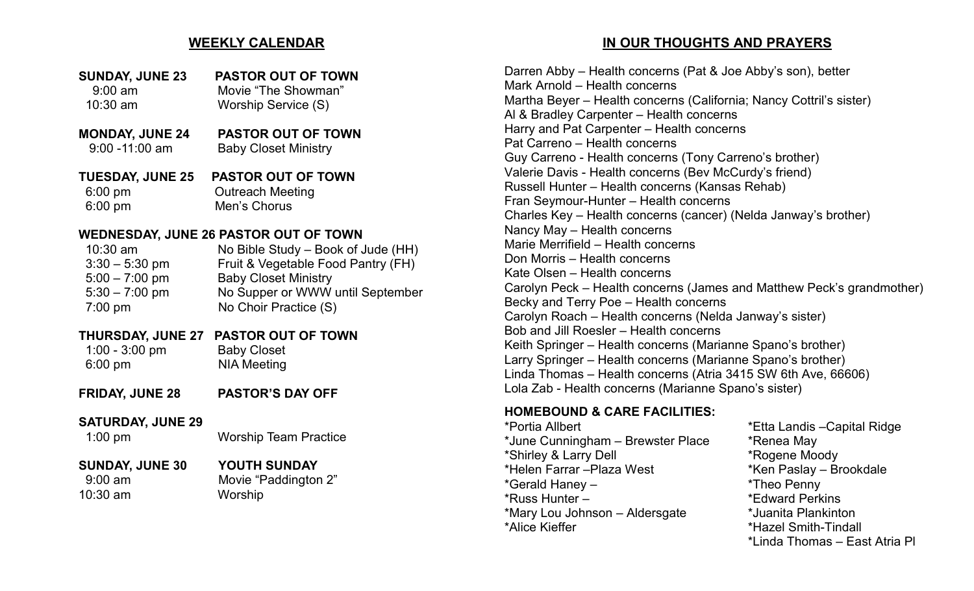## **WEEKLY CALENDAR**

- **SUNDAY, JUNE 23 PASTOR OUT OF TOWN** 9:00 am Movie "The Showman" 10:30 am Worship Service (S)
- **MONDAY, JUNE 24 PASTOR OUT OF TOWN** 9:00 -11:00 am Baby Closet Ministry

#### **TUESDAY, JUNE 25 PASTOR OUT OF TOWN** 6:00 pm Outreach Meeting 6:00 pm Men's Chorus

## **WEDNESDAY, JUNE 26 PASTOR OUT OF TOWN**

| $10:30$ am        | No Bible Study – Book of Jude (HH) |
|-------------------|------------------------------------|
| $3:30 - 5:30$ pm  | Fruit & Vegetable Food Pantry (FH) |
| $5:00 - 7:00$ pm  | <b>Baby Closet Ministry</b>        |
| $5:30 - 7:00$ pm  | No Supper or WWW until September   |
| $7:00 \text{ pm}$ | No Choir Practice (S)              |

## **THURSDAY, JUNE 27 PASTOR OUT OF TOWN**

 1:00 - 3:00 pm Baby Closet 6:00 pm NIA Meeting

**FRIDAY, JUNE 28 PASTOR'S DAY OFF**

## **SATURDAY, JUNE 29**

#### 1:00 pm Worship Team Practice

## **SUNDAY, JUNE 30 YOUTH SUNDAY**

10:30 am Worship

9:00 am Movie "Paddington 2"

## **IN OUR THOUGHTS AND PRAYERS**

Darren Abby – Health concerns (Pat & Joe Abby's son), better Mark Arnold – Health concerns Martha Beyer – Health concerns (California; Nancy Cottril's sister) Al & Bradley Carpenter – Health concerns Harry and Pat Carpenter – Health concerns Pat Carreno – Health concerns Guy Carreno - Health concerns (Tony Carreno's brother) Valerie Davis - Health concerns (Bev McCurdy's friend) Russell Hunter – Health concerns (Kansas Rehab) Fran Seymour-Hunter – Health concerns Charles Key – Health concerns (cancer) (Nelda Janway's brother) Nancy May – Health concerns Marie Merrifield – Health concerns Don Morris – Health concerns Kate Olsen – Health concerns Carolyn Peck – Health concerns (James and Matthew Peck's grandmother) Becky and Terry Poe – Health concerns Carolyn Roach – Health concerns (Nelda Janway's sister) Bob and Jill Roesler – Health concerns Keith Springer – Health concerns (Marianne Spano's brother) Larry Springer – Health concerns (Marianne Spano's brother) Linda Thomas – Health concerns (Atria 3415 SW 6th Ave, 66606) Lola Zab - Health concerns (Marianne Spano's sister)

## **HOMEBOUND & CARE FACILITIES:**

\*June Cunningham – Brewster Place \* \* Renea May \*Shirley & Larry Dell \*Rogene Moody \*Helen Farrar –Plaza West \*Ken Paslay – Brookdale \*Gerald Haney – \*Theo Penny \*Russ Hunter – \*Edward Perkins \*Mary Lou Johnson – Aldersgate \*Juanita Plankinton \*Alice Kieffer \*Hazel Smith-Tindall

\*Portia Allbert \*Etta Landis –Capital Ridge \*Linda Thomas – East Atria Pl